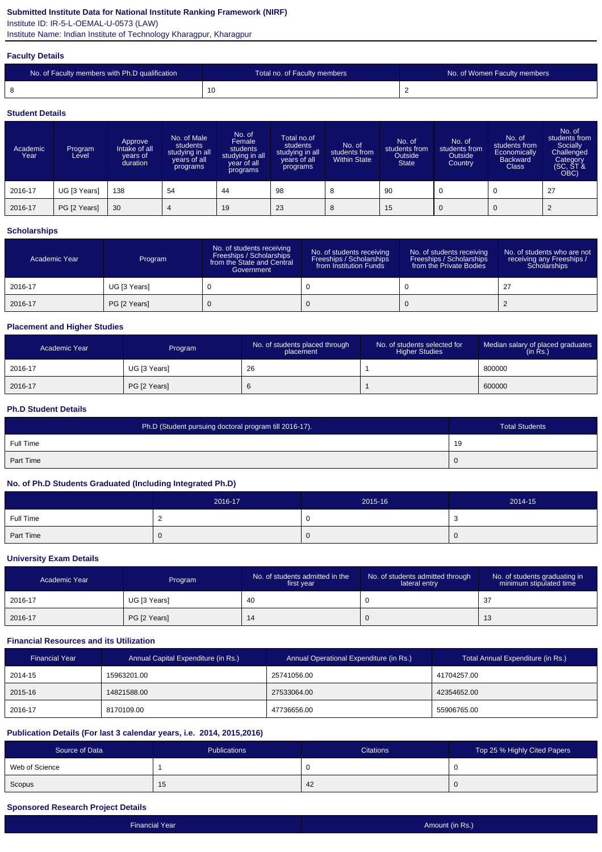## **Submitted Institute Data for National Institute Ranking Framework (NIRF)**

Institute ID: IR-5-L-OEMAL-U-0573 (LAW)

Institute Name: Indian Institute of Technology Kharagpur, Kharagpur

#### **Faculty Details**

| No. of Faculty members with Ph.D qualification | Total no. of Faculty members | No. of Women Faculty members |
|------------------------------------------------|------------------------------|------------------------------|
|                                                |                              |                              |

#### **Student Details**

| Academic<br>Year | Program<br>Level | Approve<br>Intake of all<br>vears of<br>duration | No. of Male<br>students<br>studying in all<br>years of all<br>programs | No. of<br>Female<br>students<br>studying in all<br>year of all<br>programs | Total no.of<br>students<br>studying in all<br>years of all<br>programs | No. of<br>students from<br><b>Within State</b> | No. of<br>students from<br>Outside<br><b>State</b> | No. of<br>students from<br>Outside<br>Country | No. of<br>students from<br>Economically<br><b>Backward</b><br><b>Class</b> | No. of<br>students from<br>Socially<br>Challenged<br>Category<br>(SC, ST &<br>OBC) |
|------------------|------------------|--------------------------------------------------|------------------------------------------------------------------------|----------------------------------------------------------------------------|------------------------------------------------------------------------|------------------------------------------------|----------------------------------------------------|-----------------------------------------------|----------------------------------------------------------------------------|------------------------------------------------------------------------------------|
| 2016-17          | UG [3 Years]     | 138                                              | 54                                                                     | 44                                                                         | 98                                                                     | 8                                              | 90                                                 |                                               | $\mathbf 0$                                                                | 27                                                                                 |
| 2016-17          | PG [2 Years]     | 30                                               | 4                                                                      | 19                                                                         | 23                                                                     | 8                                              | 15                                                 |                                               | $\overline{0}$                                                             |                                                                                    |

#### **Scholarships**

| Academic Year | Program      | No. of students receiving<br>Freeships / Scholarships<br>from the State and Central<br>Government | No. of students receiving<br>Freeships / Scholarships<br>from Institution Funds | No. of students receiving<br>Freeships / Scholarships<br>from the Private Bodies | No. of students who are not<br>receiving any Freeships /<br>Scholarships |
|---------------|--------------|---------------------------------------------------------------------------------------------------|---------------------------------------------------------------------------------|----------------------------------------------------------------------------------|--------------------------------------------------------------------------|
| 2016-17       | UG [3 Years] |                                                                                                   |                                                                                 |                                                                                  | 27                                                                       |
| 2016-17       | PG [2 Years] |                                                                                                   |                                                                                 |                                                                                  |                                                                          |

## **Placement and Higher Studies**

| Academic Year | Program      | No. of students placed through<br>placement | No. of students selected for<br><b>Higher Studies</b> | Median salary of placed graduates<br>(in Rs.) |
|---------------|--------------|---------------------------------------------|-------------------------------------------------------|-----------------------------------------------|
| 2016-17       | UG [3 Years] | 26                                          |                                                       | 800000                                        |
| 2016-17       | PG [2 Years] | $\circ$                                     |                                                       | 600000                                        |

#### **Ph.D Student Details**

| Ph.D (Student pursuing doctoral program till 2016-17). | <b>Total Students</b> |
|--------------------------------------------------------|-----------------------|
| Full Time                                              | 19                    |
| Part Time                                              | 0                     |

### **No. of Ph.D Students Graduated (Including Integrated Ph.D)**

|           | 2016-17 | 2015-16 | 2014-15 |
|-----------|---------|---------|---------|
| Full Time |         |         | ັບ      |
| Part Time |         |         | U       |

#### **University Exam Details**

| Academic Year | Program      | No. of students admitted in the<br>first year | No. of students admitted through<br>lateral entry | No. of students graduating in<br>minimum stipulated time |
|---------------|--------------|-----------------------------------------------|---------------------------------------------------|----------------------------------------------------------|
| 2016-17       | UG [3 Years] | -40                                           |                                                   | 37<br>نٽ                                                 |
| 2016-17       | PG [2 Years] | 14                                            |                                                   | ں ا                                                      |

### **Financial Resources and its Utilization**

| <b>Financial Year</b> | Annual Capital Expenditure (in Rs.) | Annual Operational Expenditure (in Rs.) | Total Annual Expenditure (in Rs.) |
|-----------------------|-------------------------------------|-----------------------------------------|-----------------------------------|
| 2014-15               | 15963201.00                         | 25741056.00                             | 41704257.00                       |
| 2015-16               | 14821588.00                         | 27533064.00                             | 42354652.00                       |
| 2016-17               | 8170109.00                          | 47736656.00                             | 55906765.00                       |

### **Publication Details (For last 3 calendar years, i.e. 2014, 2015,2016)**

| Source of Data | Publications | <b>Citations</b> | Top 25 % Highly Cited Papers |
|----------------|--------------|------------------|------------------------------|
| Web of Science |              | ັບ               |                              |
| Scopus         | 15           | 42               |                              |

### **Sponsored Research Project Details**

| Financial Year | Amount (in Rs.) |
|----------------|-----------------|
|                |                 |